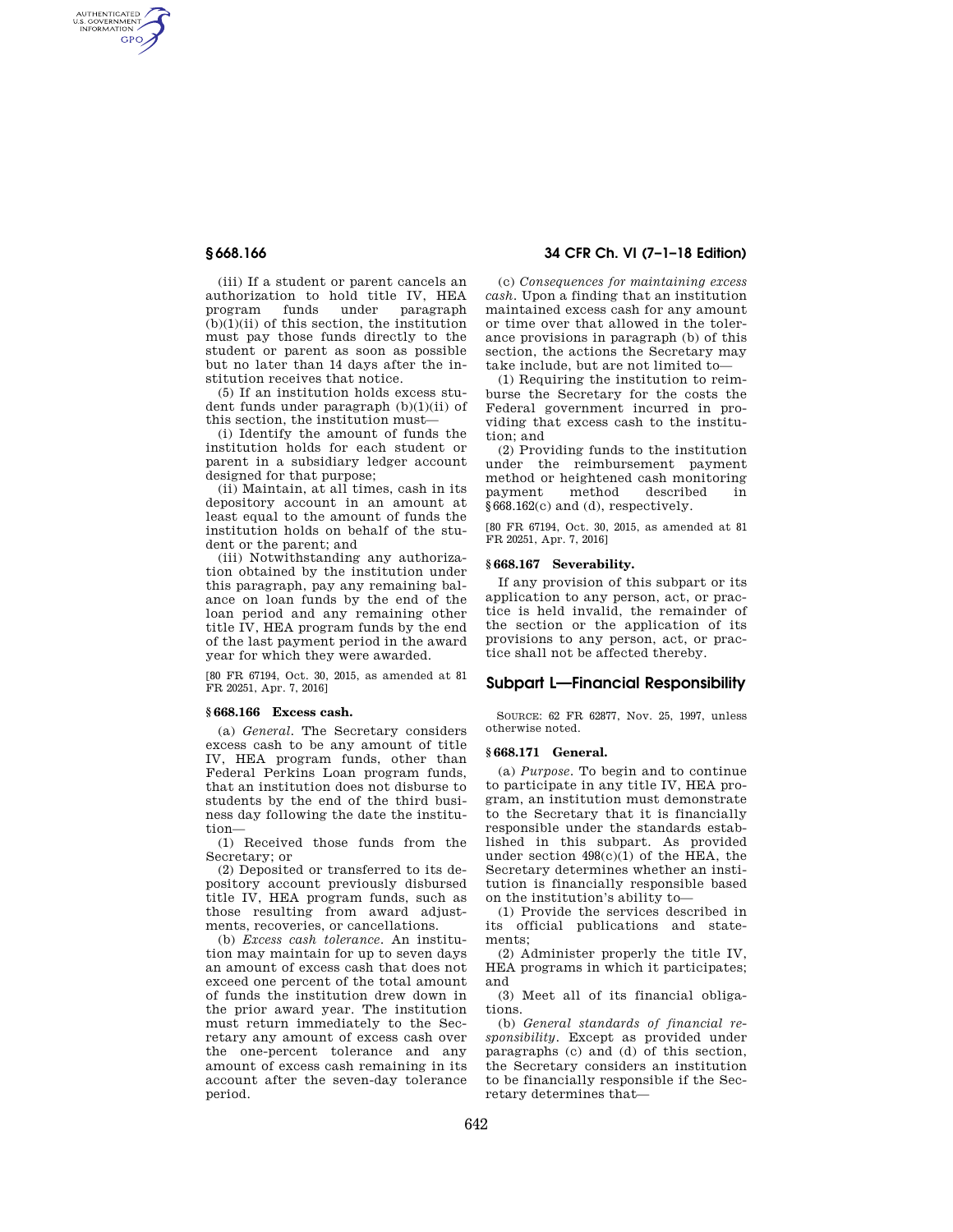AUTHENTICATED<br>U.S. GOVERNMENT<br>INFORMATION **GPO** 

> (iii) If a student or parent cancels an authorization to hold title IV, HEA program funds under paragraph  $(b)(1)(ii)$  of this section, the institution must pay those funds directly to the student or parent as soon as possible but no later than 14 days after the institution receives that notice.

(5) If an institution holds excess student funds under paragraph (b)(1)(ii) of this section, the institution must—

(i) Identify the amount of funds the institution holds for each student or parent in a subsidiary ledger account designed for that purpose;

(ii) Maintain, at all times, cash in its depository account in an amount at least equal to the amount of funds the institution holds on behalf of the student or the parent; and

(iii) Notwithstanding any authorization obtained by the institution under this paragraph, pay any remaining balance on loan funds by the end of the loan period and any remaining other title IV, HEA program funds by the end of the last payment period in the award year for which they were awarded.

[80 FR 67194, Oct. 30, 2015, as amended at 81 FR 20251, Apr. 7, 2016]

# **§ 668.166 Excess cash.**

(a) *General.* The Secretary considers excess cash to be any amount of title IV, HEA program funds, other than Federal Perkins Loan program funds, that an institution does not disburse to students by the end of the third business day following the date the institution—

(1) Received those funds from the Secretary; or

(2) Deposited or transferred to its depository account previously disbursed title IV, HEA program funds, such as those resulting from award adjustments, recoveries, or cancellations.

(b) *Excess cash tolerance.* An institution may maintain for up to seven days an amount of excess cash that does not exceed one percent of the total amount of funds the institution drew down in the prior award year. The institution must return immediately to the Secretary any amount of excess cash over the one-percent tolerance and any amount of excess cash remaining in its account after the seven-day tolerance period.

# **§ 668.166 34 CFR Ch. VI (7–1–18 Edition)**

(c) *Consequences for maintaining excess cash.* Upon a finding that an institution maintained excess cash for any amount or time over that allowed in the tolerance provisions in paragraph (b) of this section, the actions the Secretary may take include, but are not limited to—

(1) Requiring the institution to reimburse the Secretary for the costs the Federal government incurred in providing that excess cash to the institution; and

(2) Providing funds to the institution under the reimbursement payment method or heightened cash monitoring payment method described §668.162(c) and (d), respectively.

[80 FR 67194, Oct. 30, 2015, as amended at 81 FR 20251, Apr. 7, 2016]

## **§ 668.167 Severability.**

If any provision of this subpart or its application to any person, act, or practice is held invalid, the remainder of the section or the application of its provisions to any person, act, or practice shall not be affected thereby.

## **Subpart L—Financial Responsibility**

SOURCE: 62 FR 62877, Nov. 25, 1997, unless otherwise noted.

### **§ 668.171 General.**

(a) *Purpose.* To begin and to continue to participate in any title IV, HEA program, an institution must demonstrate to the Secretary that it is financially responsible under the standards established in this subpart. As provided under section  $498(c)(1)$  of the HEA, the Secretary determines whether an institution is financially responsible based on the institution's ability to—

(1) Provide the services described in its official publications and statements;

(2) Administer properly the title IV, HEA programs in which it participates; and

(3) Meet all of its financial obligations.

(b) *General standards of financial responsibility.* Except as provided under paragraphs (c) and (d) of this section, the Secretary considers an institution to be financially responsible if the Secretary determines that—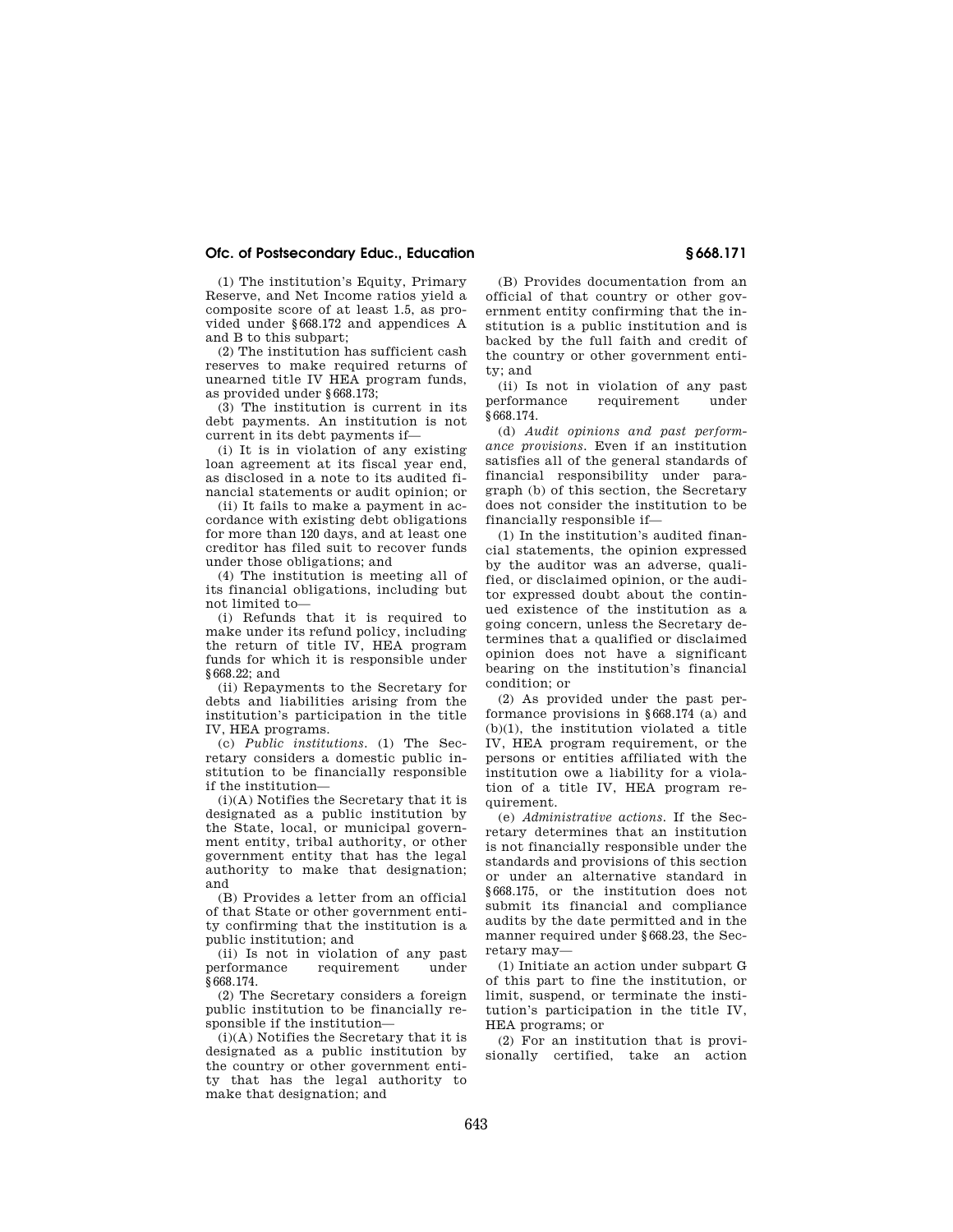# **Ofc. of Postsecondary Educ., Education § 668.171**

(1) The institution's Equity, Primary Reserve, and Net Income ratios yield a composite score of at least 1.5, as provided under §668.172 and appendices A and B to this subpart;

(2) The institution has sufficient cash reserves to make required returns of unearned title IV HEA program funds, as provided under §668.173;

(3) The institution is current in its debt payments. An institution is not current in its debt payments if—

(i) It is in violation of any existing loan agreement at its fiscal year end, as disclosed in a note to its audited financial statements or audit opinion; or

(ii) It fails to make a payment in accordance with existing debt obligations for more than 120 days, and at least one creditor has filed suit to recover funds under those obligations; and

(4) The institution is meeting all of its financial obligations, including but not limited to—

(i) Refunds that it is required to make under its refund policy, including the return of title IV, HEA program funds for which it is responsible under  $$668.22; and$ 

(ii) Repayments to the Secretary for debts and liabilities arising from the institution's participation in the title IV, HEA programs.

(c) *Public institutions.* (1) The Secretary considers a domestic public institution to be financially responsible if the institution—

(i)(A) Notifies the Secretary that it is designated as a public institution by the State, local, or municipal government entity, tribal authority, or other government entity that has the legal authority to make that designation; and

(B) Provides a letter from an official of that State or other government entity confirming that the institution is a public institution; and

(ii) Is not in violation of any past performance requirement under §668.174.

(2) The Secretary considers a foreign public institution to be financially responsible if the institution—

(i)(A) Notifies the Secretary that it is designated as a public institution by the country or other government entity that has the legal authority to make that designation; and

(B) Provides documentation from an official of that country or other government entity confirming that the institution is a public institution and is backed by the full faith and credit of the country or other government entity; and

(ii) Is not in violation of any past performance requirement under §668.174.

(d) *Audit opinions and past performance provisions.* Even if an institution satisfies all of the general standards of financial responsibility under paragraph (b) of this section, the Secretary does not consider the institution to be financially responsible if—

(1) In the institution's audited financial statements, the opinion expressed by the auditor was an adverse, qualified, or disclaimed opinion, or the auditor expressed doubt about the continued existence of the institution as a going concern, unless the Secretary determines that a qualified or disclaimed opinion does not have a significant bearing on the institution's financial condition; or

(2) As provided under the past performance provisions in §668.174 (a) and (b)(1), the institution violated a title IV, HEA program requirement, or the persons or entities affiliated with the institution owe a liability for a violation of a title IV, HEA program requirement.

(e) *Administrative actions.* If the Secretary determines that an institution is not financially responsible under the standards and provisions of this section or under an alternative standard in §668.175, or the institution does not submit its financial and compliance audits by the date permitted and in the manner required under §668.23, the Secretary may—

(1) Initiate an action under subpart G of this part to fine the institution, or limit, suspend, or terminate the institution's participation in the title IV, HEA programs; or

(2) For an institution that is provisionally certified, take an action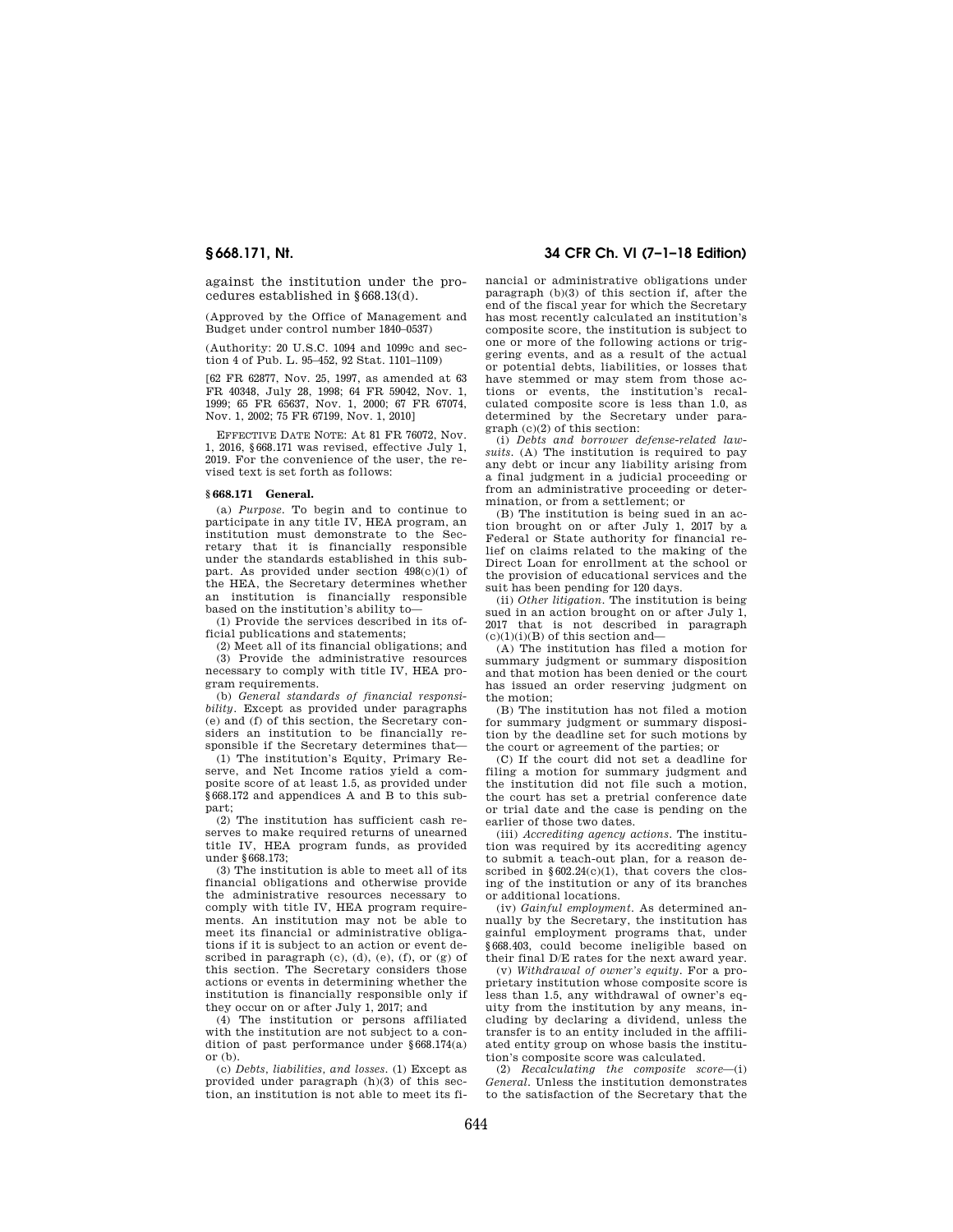against the institution under the procedures established in §668.13(d).

(Approved by the Office of Management and Budget under control number 1840–0537)

 $(A$ uthority:  $20$  II S C  $1094$  and  $1099c$  and section 4 of Pub. L. 95–452, 92 Stat. 1101–1109)

[62 FR 62877, Nov. 25, 1997, as amended at 63 FR 40348, July 28, 1998; 64 FR 59042, Nov. 1, 1999; 65 FR 65637, Nov. 1, 2000; 67 FR 67074, Nov. 1, 2002; 75 FR 67199, Nov. 1, 2010]

EFFECTIVE DATE NOTE: At 81 FR 76072, Nov. 1, 2016, §668.171 was revised, effective July 1, 2019. For the convenience of the user, the revised text is set forth as follows:

### **§ 668.171 General.**

(a) *Purpose.* To begin and to continue to participate in any title IV, HEA program, an institution must demonstrate to the Secretary that it is financially responsible under the standards established in this subpart. As provided under section 498(c)(1) of the HEA, the Secretary determines whether an institution is financially responsible based on the institution's ability to—

(1) Provide the services described in its official publications and statements;

(2) Meet all of its financial obligations; and (3) Provide the administrative resources necessary to comply with title IV, HEA program requirements.

(b) *General standards of financial responsibility.* Except as provided under paragraphs (e) and (f) of this section, the Secretary considers an institution to be financially responsible if the Secretary determines that—

(1) The institution's Equity, Primary Reserve, and Net Income ratios yield a composite score of at least 1.5, as provided under §668.172 and appendices A and B to this subpart;

(2) The institution has sufficient cash reserves to make required returns of unearned title IV, HEA program funds, as provided under §668.173;

(3) The institution is able to meet all of its financial obligations and otherwise provide the administrative resources necessary to comply with title IV, HEA program requirements. An institution may not be able to meet its financial or administrative obligations if it is subject to an action or event described in paragraph  $(c)$ ,  $(d)$ ,  $(e)$ ,  $(f)$ ,  $or$   $(g)$  of this section. The Secretary considers those actions or events in determining whether the institution is financially responsible only if they occur on or after July 1, 2017; and

(4) The institution or persons affiliated with the institution are not subject to a condition of past performance under §668.174(a)  $or$   $(b)$ .

(c) *Debts, liabilities, and losses.* (1) Except as provided under paragraph (h)(3) of this section, an institution is not able to meet its fi-

# **§ 668.171, Nt. 34 CFR Ch. VI (7–1–18 Edition)**

nancial or administrative obligations under paragraph (b)(3) of this section if, after the end of the fiscal year for which the Secretary has most recently calculated an institution's composite score, the institution is subject to one or more of the following actions or triggering events, and as a result of the actual or potential debts, liabilities, or losses that have stemmed or may stem from those actions or events, the institution's recalculated composite score is less than 1.0, as determined by the Secretary under paragraph (c)(2) of this section:

(i) *Debts and borrower defense-related lawsuits.* (A) The institution is required to pay any debt or incur any liability arising from a final judgment in a judicial proceeding or from an administrative proceeding or determination, or from a settlement; or

(B) The institution is being sued in an action brought on or after July 1, 2017 by a Federal or State authority for financial relief on claims related to the making of the Direct Loan for enrollment at the school or the provision of educational services and the suit has been pending for 120 days.

(ii) *Other litigation.* The institution is being sued in an action brought on or after July 1, 2017 that is not described in paragraph  $(c)(1)(i)(B)$  of this section and-

(A) The institution has filed a motion for summary judgment or summary disposition and that motion has been denied or the court has issued an order reserving judgment on the motion;

(B) The institution has not filed a motion for summary judgment or summary disposition by the deadline set for such motions by the court or agreement of the parties; or

(C) If the court did not set a deadline for filing a motion for summary judgment and the institution did not file such a motion, the court has set a pretrial conference date or trial date and the case is pending on the earlier of those two dates.

(iii) *Accrediting agency actions.* The institution was required by its accrediting agency to submit a teach-out plan, for a reason described in  $§602.24(c)(1)$ , that covers the closing of the institution or any of its branches or additional locations.

(iv) *Gainful employment.* As determined annually by the Secretary, the institution has gainful employment programs that, under §668.403, could become ineligible based on their final D/E rates for the next award year.

(v) *Withdrawal of owner's equity.* For a proprietary institution whose composite score is less than 1.5, any withdrawal of owner's equity from the institution by any means, including by declaring a dividend, unless the transfer is to an entity included in the affiliated entity group on whose basis the institution's composite score was calculated.

(2) *Recalculating the composite score*—(i) *General.* Unless the institution demonstrates to the satisfaction of the Secretary that the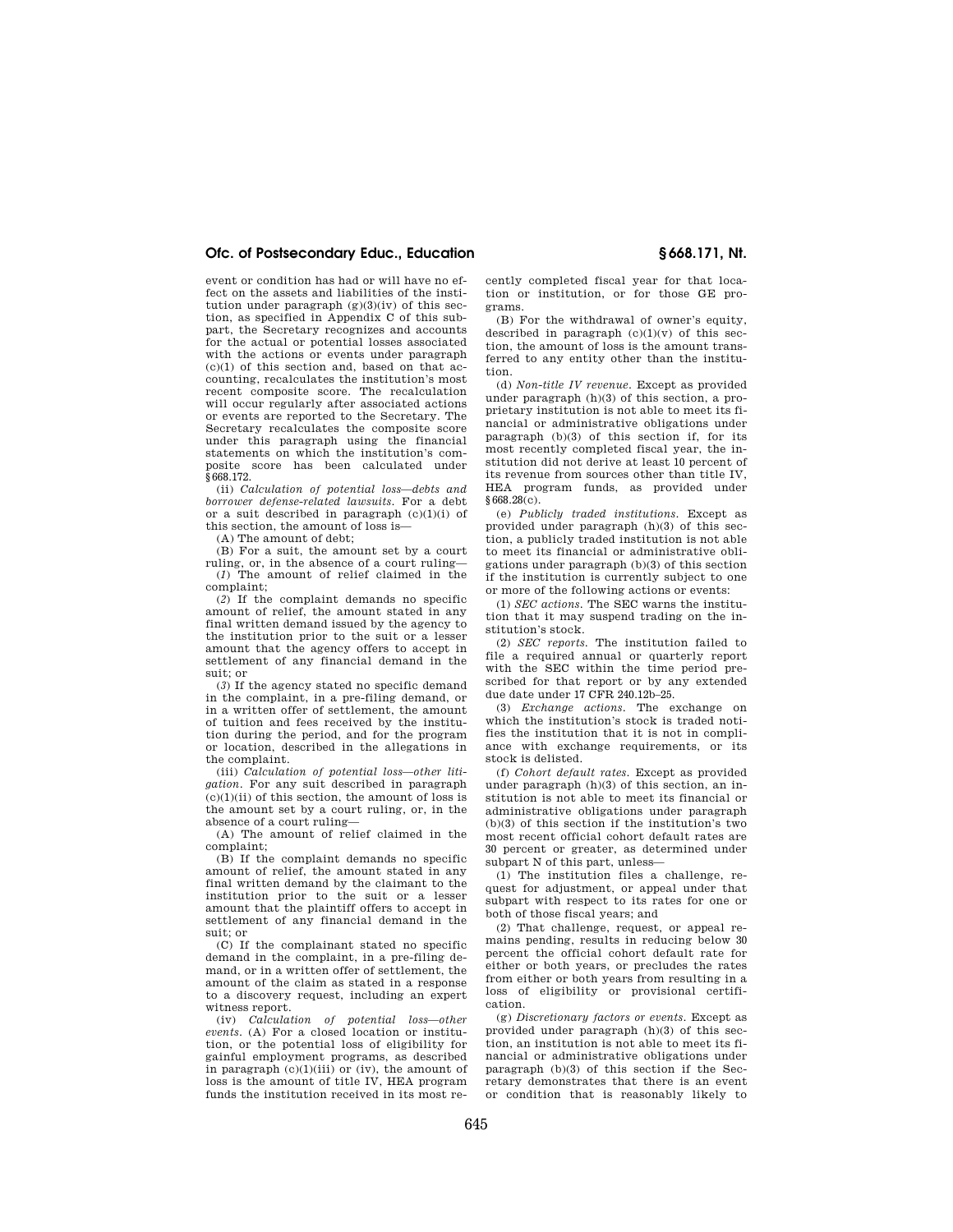# **Ofc. of Postsecondary Educ., Education § 668.171, Nt.**

event or condition has had or will have no effect on the assets and liabilities of the institution under paragraph  $(g)(3)(iv)$  of this section, as specified in Appendix C of this subpart, the Secretary recognizes and accounts for the actual or potential losses associated with the actions or events under paragraph  $(c)(1)$  of this section and, based on that accounting, recalculates the institution's most recent composite score. The recalculation will occur regularly after associated actions or events are reported to the Secretary. The Secretary recalculates the composite score under this paragraph using the financial statements on which the institution's composite score has been calculated under §668.172.

(ii) *Calculation of potential loss—debts and borrower defense-related lawsuits.* For a debt or a suit described in paragraph  $(c)(1)(i)$  of this section, the amount of loss is—

(A) The amount of debt;

(B) For a suit, the amount set by a court ruling, or, in the absence of a court ruling— (*1*) The amount of relief claimed in the complaint;

(*2*) If the complaint demands no specific amount of relief, the amount stated in any final written demand issued by the agency to the institution prior to the suit or a lesser amount that the agency offers to accept in settlement of any financial demand in the suit; or

(*3*) If the agency stated no specific demand in the complaint, in a pre-filing demand, or in a written offer of settlement, the amount of tuition and fees received by the institution during the period, and for the program or location, described in the allegations in the complaint.

(iii) *Calculation of potential loss—other litigation.* For any suit described in paragraph  $(c)(1)(ii)$  of this section, the amount of loss is the amount set by a court ruling, or, in the absence of a court ruling—

(A) The amount of relief claimed in the complaint;

(B) If the complaint demands no specific amount of relief, the amount stated in any final written demand by the claimant to the institution prior to the suit or a lesser amount that the plaintiff offers to accept in settlement of any financial demand in the suit; or

(C) If the complainant stated no specific demand in the complaint, in a pre-filing demand, or in a written offer of settlement, the amount of the claim as stated in a response to a discovery request, including an expert witness report.

(iv) *Calculation of potential loss—other events.* (A) For a closed location or institution, or the potential loss of eligibility for gainful employment programs, as described in paragraph (c)(1)(iii) or (iv), the amount of loss is the amount of title IV, HEA program funds the institution received in its most recently completed fiscal year for that location or institution, or for those GE programs.

(B) For the withdrawal of owner's equity, described in paragraph  $(c)(1)(v)$  of this section, the amount of loss is the amount transferred to any entity other than the institution.

(d) *Non-title IV revenue.* Except as provided under paragraph (h)(3) of this section, a proprietary institution is not able to meet its financial or administrative obligations under paragraph (b)(3) of this section if, for its most recently completed fiscal year, the institution did not derive at least 10 percent of its revenue from sources other than title IV, HEA program funds, as provided under §668.28(c).

(e) *Publicly traded institutions.* Except as provided under paragraph (h)(3) of this section, a publicly traded institution is not able to meet its financial or administrative obligations under paragraph (b)(3) of this section if the institution is currently subject to one or more of the following actions or events:

(1) *SEC actions.* The SEC warns the institution that it may suspend trading on the institution's stock.

(2) *SEC reports.* The institution failed to file a required annual or quarterly report with the SEC within the time period prescribed for that report or by any extended due date under 17 CFR 240.12b–25.

(3) *Exchange actions.* The exchange on which the institution's stock is traded notifies the institution that it is not in compliance with exchange requirements, or its stock is delisted.

(f) *Cohort default rates.* Except as provided under paragraph (h)(3) of this section, an institution is not able to meet its financial or administrative obligations under paragraph (b)(3) of this section if the institution's two most recent official cohort default rates are 30 percent or greater, as determined under subpart N of this part, unless—

(1) The institution files a challenge, request for adjustment, or appeal under that subpart with respect to its rates for one or both of those fiscal years; and

(2) That challenge, request, or appeal remains pending, results in reducing below 30 percent the official cohort default rate for either or both years, or precludes the rates from either or both years from resulting in a loss of eligibility or provisional certification.

(g) *Discretionary factors or events.* Except as provided under paragraph (h)(3) of this section, an institution is not able to meet its financial or administrative obligations under paragraph (b)(3) of this section if the Secretary demonstrates that there is an event or condition that is reasonably likely to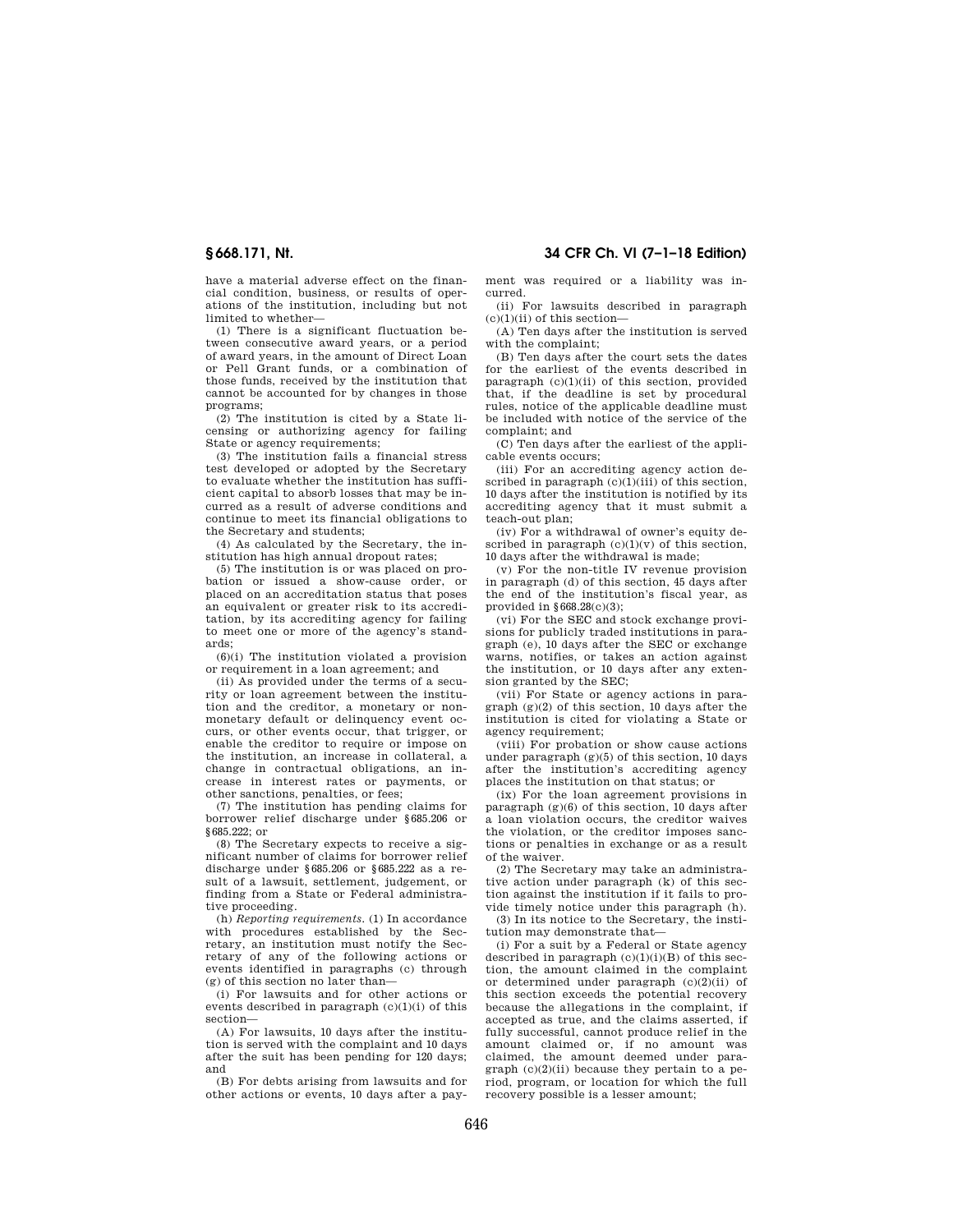**§ 668.171, Nt. 34 CFR Ch. VI (7–1–18 Edition)** 

have a material adverse effect on the financial condition, business, or results of operations of the institution, including but not limited to whether—

(1) There is a significant fluctuation between consecutive award years, or a period of award years, in the amount of Direct Loan or Pell Grant funds, or a combination of those funds, received by the institution that cannot be accounted for by changes in those programs;

(2) The institution is cited by a State licensing or authorizing agency for failing State or agency requirements;

(3) The institution fails a financial stress test developed or adopted by the Secretary to evaluate whether the institution has sufficient capital to absorb losses that may be incurred as a result of adverse conditions and continue to meet its financial obligations to the Secretary and students;

(4) As calculated by the Secretary, the institution has high annual dropout rates;

(5) The institution is or was placed on probation or issued a show-cause order, or placed on an accreditation status that poses an equivalent or greater risk to its accreditation, by its accrediting agency for failing to meet one or more of the agency's standards;

 $(6)(i)$  The institution violated a provision or requirement in a loan agreement; and

(ii) As provided under the terms of a security or loan agreement between the institution and the creditor, a monetary or nonmonetary default or delinquency event occurs, or other events occur, that trigger, or enable the creditor to require or impose on the institution, an increase in collateral, a change in contractual obligations, an increase in interest rates or payments, or other sanctions, penalties, or fees;

(7) The institution has pending claims for borrower relief discharge under §685.206 or §685.222; or

(8) The Secretary expects to receive a significant number of claims for borrower relief discharge under §685.206 or §685.222 as a result of a lawsuit, settlement, judgement, or finding from a State or Federal administrative proceeding.

(h) *Reporting requirements.* (1) In accordance with procedures established by the Secretary, an institution must notify the Secretary of any of the following actions or events identified in paragraphs (c) through (g) of this section no later than—

(i) For lawsuits and for other actions or events described in paragraph  $(c)(1)(i)$  of this section—

(A) For lawsuits, 10 days after the institution is served with the complaint and 10 days after the suit has been pending for 120 days; and

(B) For debts arising from lawsuits and for other actions or events, 10 days after a payment was required or a liability was incurred.

(ii) For lawsuits described in paragraph  $(c)(1)(ii)$  of this section-

(A) Ten days after the institution is served with the complaint;

(B) Ten days after the court sets the dates for the earliest of the events described in paragraph  $(c)(1)(ii)$  of this section, provided that, if the deadline is set by procedural rules, notice of the applicable deadline must be included with notice of the service of the complaint; and

(C) Ten days after the earliest of the applicable events occurs;

(iii) For an accrediting agency action described in paragraph  $(c)(1)(iii)$  of this section, 10 days after the institution is notified by its accrediting agency that it must submit a teach-out plan;

(iv) For a withdrawal of owner's equity described in paragraph  $(c)(1)(v)$  of this section, 10 days after the withdrawal is made;

(v) For the non-title IV revenue provision in paragraph (d) of this section, 45 days after the end of the institution's fiscal year, as provided in  $§668.28(c)(3);$ 

(vi) For the SEC and stock exchange provisions for publicly traded institutions in paragraph (e), 10 days after the SEC or exchange warns, notifies, or takes an action against the institution, or 10 days after any extension granted by the SEC;

(vii) For State or agency actions in paragraph (g)(2) of this section, 10 days after the institution is cited for violating a State or agency requirement;

(viii) For probation or show cause actions under paragraph  $(g)(5)$  of this section, 10 days after the institution's accrediting agency places the institution on that status; or

(ix) For the loan agreement provisions in paragraph (g)(6) of this section, 10 days after a loan violation occurs, the creditor waives the violation, or the creditor imposes sanctions or penalties in exchange or as a result of the waiver.

(2) The Secretary may take an administrative action under paragraph (k) of this section against the institution if it fails to provide timely notice under this paragraph (h).

(3) In its notice to the Secretary, the institution may demonstrate that—

(i) For a suit by a Federal or State agency described in paragraph  $(c)(1)(i)(B)$  of this section, the amount claimed in the complaint or determined under paragraph  $(c)(2)(ii)$  of this section exceeds the potential recovery because the allegations in the complaint, if accepted as true, and the claims asserted, if fully successful, cannot produce relief in the amount claimed or, if no amount was claimed, the amount deemed under paragraph  $(c)(2)(ii)$  because they pertain to a period, program, or location for which the full recovery possible is a lesser amount;